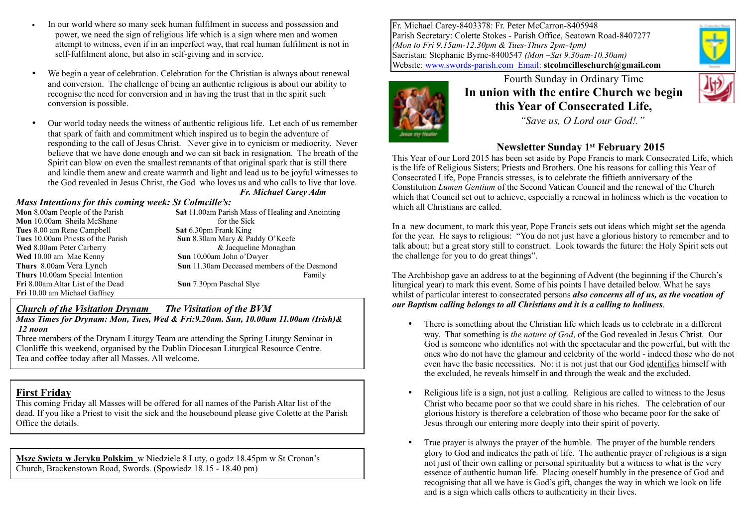- In our world where so many seek human fulfilment in success and possession and power, we need the sign of religious life which is a sign where men and women attempt to witness, even if in an imperfect way, that real human fulfilment is not in self-fulfilment alone, but also in self-giving and in service.
- We begin a year of celebration. Celebration for the Christian is always about renewal and conversion. The challenge of being an authentic religious is about our ability to recognise the need for conversion and in having the trust that in the spirit such conversion is possible.
- Our world today needs the witness of authentic religious life. Let each of us remember that spark of faith and commitment which inspired us to begin the adventure of responding to the call of Jesus Christ. Never give in to cynicism or mediocrity. Never believe that we have done enough and we can sit back in resignation. The breath of the Spirit can blow on even the smallest remnants of that original spark that is still there and kindle them anew and create warmth and light and lead us to be joyful witnesses to the God revealed in Jesus Christ, the God who loves us and who calls to live that love.

*Fr. Michael Carey Adm*

#### *Mass Intentions for this coming week: St Colmcille's:*

| <b>Mon</b> 8.00am People of the Parish | <b>Sat</b> 11.00am Parish Mass of Healing and Anointing |
|----------------------------------------|---------------------------------------------------------|
| Mon 10.00am Sheila McShane             | for the Sick                                            |
| Tues 8.00 am Rene Campbell             | <b>Sat 6.30pm Frank King</b>                            |
| Tues 10.00am Priests of the Parish     | Sun 8.30am Mary & Paddy O'Keefe                         |
| <b>Wed</b> 8.00am Peter Carberry       | & Jacqueline Monaghan                                   |
| Wed 10.00 am Mae Kenny                 | Sun 10.00am John o'Dwyer                                |
| <b>Thurs</b> 8.00am Vera Lynch         | <b>Sun</b> 11.30am Deceased members of the Desmond      |
| <b>Thurs</b> 10.00am Special Intention | Family                                                  |
| Fri 8.00am Altar List of the Dead      | Sun 7.30pm Paschal Slye                                 |
| Fri 10.00 am Michael Gaffney           |                                                         |

### *Church of the Visitation Drynam**The Visitation of the BVM*

*Mass Times for Drynam: Mon, Tues, Wed & Fri:9.20am. Sun, 10.00am 11.00am (Irish)& 12 noon*

Three members of the Drynam Liturgy Team are attending the Spring Liturgy Seminar in Clonliffe this weekend, organised by the Dublin Diocesan Liturgical Resource Centre. Tea and coffee today after all Masses. All welcome.

## **First Friday**

This coming Friday all Masses will be offered for all names of the Parish Altar list of the dead. If you like a Priest to visit the sick and the housebound please give Colette at the Parish Office the details.

**Msze Swieta w Jeryku Polskim** w Niedziele 8 Luty, o godz 18.45pm w St Cronan's Church, Brackenstown Road, Swords. (Spowiedz 18.15 - 18.40 pm)

Fr. Michael Carey-8403378: Fr. Peter McCarron-8405948 Parish Secretary: Colette Stokes - Parish Office, Seatown Road-8407277 *(Mon to Fri 9.15am-12.30pm & Tues-Thurs 2pm-4pm)* Sacristan: Stephanie Byrne-8400547 *(Mon –Sat 9.30am-10.30am)*  Website: [www.swords-parish.com Email:](http://www.swords-parish.com%20%20email) **stcolmcilleschurch@gmail.com**



Fourth Sunday in Ordinary Time **In union with the entire Church we begin this Year of Consecrated Life,** 

 *"Save us, O Lord our God!."* 

## **Newsletter Sunday 1st February 2015**

This Year of our Lord 2015 has been set aside by Pope Francis to mark Consecrated Life, which is the life of Religious Sisters; Priests and Brothers. One his reasons for calling this Year of Consecrated Life, Pope Francis stresses, is to celebrate the fiftieth anniversary of the Constitution *Lumen Gentium* of the Second Vatican Council and the renewal of the Church which that Council set out to achieve, especially a renewal in holiness which is the vocation to which all Christians are called.

In a new document, to mark this year, Pope Francis sets out ideas which might set the agenda for the year. He says to religious: "You do not just have a glorious history to remember and to talk about; but a great story still to construct. Look towards the future: the Holy Spirit sets out the challenge for you to do great things".

The Archbishop gave an address to at the beginning of Advent (the beginning if the Church's liturgical year) to mark this event. Some of his points I have detailed below. What he says whilst of particular interest to consecrated persons *also concerns all of us, as the vocation of our Baptism calling belongs to all Christians and it is a calling to holiness*.

- There is something about the Christian life which leads us to celebrate in a different way. That something is *the nature of God*, of the God revealed in Jesus Christ. Our God is someone who identifies not with the spectacular and the powerful, but with the ones who do not have the glamour and celebrity of the world - indeed those who do not even have the basic necessities. No: it is not just that our God identifies himself with the excluded, he reveals himself in and through the weak and the excluded.
- Religious life is a sign, not just a calling. Religious are called to witness to the Jesus Christ who became poor so that we could share in his riches. The celebration of our glorious history is therefore a celebration of those who became poor for the sake of Jesus through our entering more deeply into their spirit of poverty.
- True prayer is always the prayer of the humble. The prayer of the humble renders glory to God and indicates the path of life. The authentic prayer of religious is a sign not just of their own calling or personal spirituality but a witness to what is the very essence of authentic human life. Placing oneself humbly in the presence of God and recognising that all we have is God's gift, changes the way in which we look on life and is a sign which calls others to authenticity in their lives.